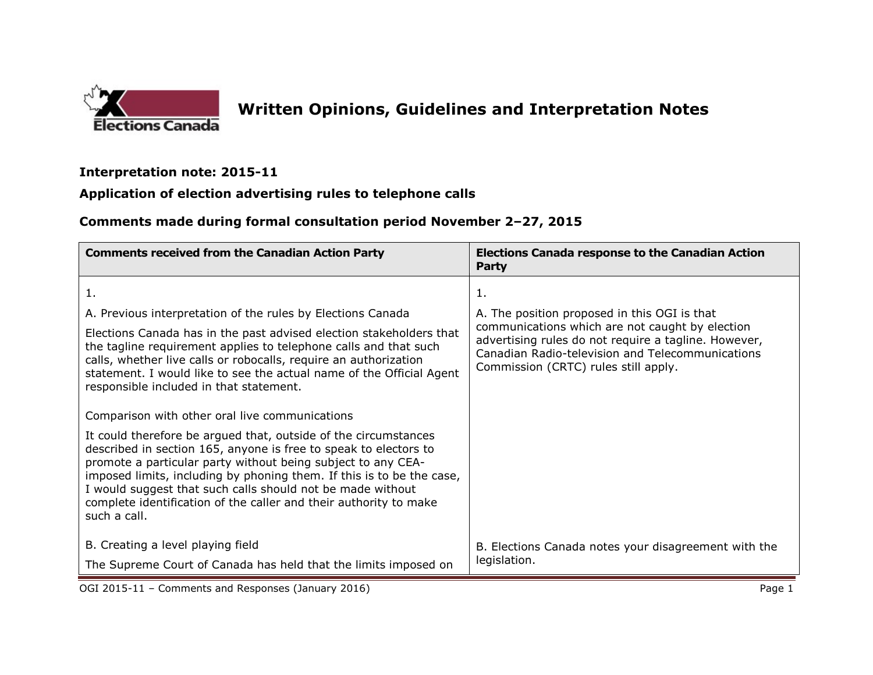

## **Written Opinions, Guidelines and Interpretation Notes**

## **Interpretation note: 2015-11**

## **Application of election advertising rules to telephone calls**

## **Comments made during formal consultation period November 2–27, 2015**

| <b>Comments received from the Canadian Action Party</b>                                                                                                                                                                                                                                                                                                                                                                         | <b>Elections Canada response to the Canadian Action</b><br>Party                                                                                                                                    |
|---------------------------------------------------------------------------------------------------------------------------------------------------------------------------------------------------------------------------------------------------------------------------------------------------------------------------------------------------------------------------------------------------------------------------------|-----------------------------------------------------------------------------------------------------------------------------------------------------------------------------------------------------|
| 1.                                                                                                                                                                                                                                                                                                                                                                                                                              | 1.                                                                                                                                                                                                  |
| A. Previous interpretation of the rules by Elections Canada                                                                                                                                                                                                                                                                                                                                                                     | A. The position proposed in this OGI is that                                                                                                                                                        |
| Elections Canada has in the past advised election stakeholders that<br>the tagline requirement applies to telephone calls and that such<br>calls, whether live calls or robocalls, require an authorization<br>statement. I would like to see the actual name of the Official Agent<br>responsible included in that statement.                                                                                                  | communications which are not caught by election<br>advertising rules do not require a tagline. However,<br>Canadian Radio-television and Telecommunications<br>Commission (CRTC) rules still apply. |
| Comparison with other oral live communications                                                                                                                                                                                                                                                                                                                                                                                  |                                                                                                                                                                                                     |
| It could therefore be argued that, outside of the circumstances<br>described in section 165, anyone is free to speak to electors to<br>promote a particular party without being subject to any CEA-<br>imposed limits, including by phoning them. If this is to be the case,<br>I would suggest that such calls should not be made without<br>complete identification of the caller and their authority to make<br>such a call. |                                                                                                                                                                                                     |
| B. Creating a level playing field                                                                                                                                                                                                                                                                                                                                                                                               | B. Elections Canada notes your disagreement with the                                                                                                                                                |
| The Supreme Court of Canada has held that the limits imposed on                                                                                                                                                                                                                                                                                                                                                                 | legislation.                                                                                                                                                                                        |

OGI 2015-11 – Comments and Responses (January 2016) **Page 1 Page 1 Page 1**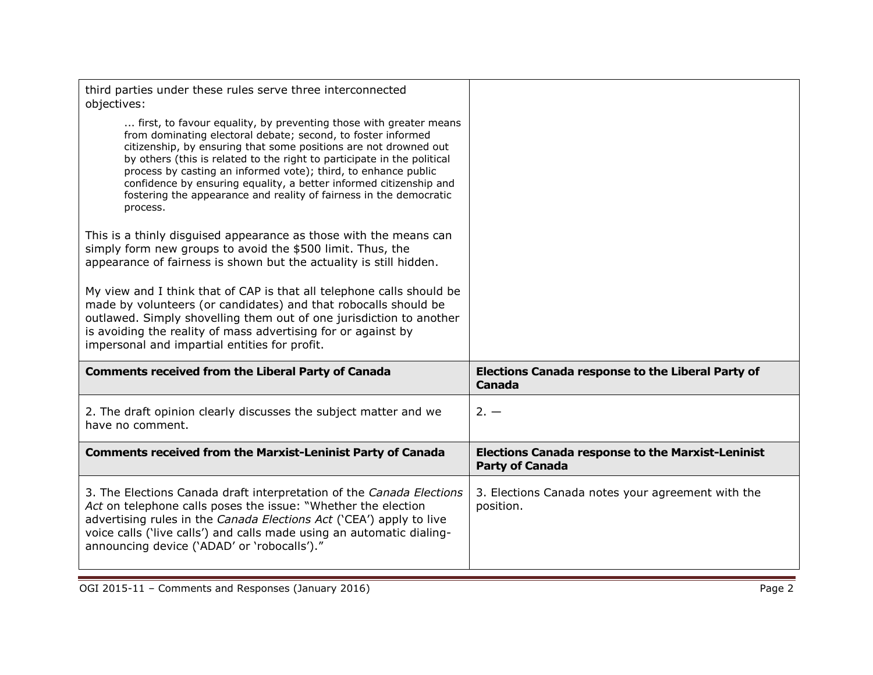| third parties under these rules serve three interconnected<br>objectives:                                                                                                                                                                                                                                                                                                                                                                                                                                  |                                                                                    |
|------------------------------------------------------------------------------------------------------------------------------------------------------------------------------------------------------------------------------------------------------------------------------------------------------------------------------------------------------------------------------------------------------------------------------------------------------------------------------------------------------------|------------------------------------------------------------------------------------|
| first, to favour equality, by preventing those with greater means<br>from dominating electoral debate; second, to foster informed<br>citizenship, by ensuring that some positions are not drowned out<br>by others (this is related to the right to participate in the political<br>process by casting an informed vote); third, to enhance public<br>confidence by ensuring equality, a better informed citizenship and<br>fostering the appearance and reality of fairness in the democratic<br>process. |                                                                                    |
| This is a thinly disguised appearance as those with the means can<br>simply form new groups to avoid the \$500 limit. Thus, the<br>appearance of fairness is shown but the actuality is still hidden.                                                                                                                                                                                                                                                                                                      |                                                                                    |
| My view and I think that of CAP is that all telephone calls should be<br>made by volunteers (or candidates) and that robocalls should be<br>outlawed. Simply shovelling them out of one jurisdiction to another<br>is avoiding the reality of mass advertising for or against by<br>impersonal and impartial entities for profit.                                                                                                                                                                          |                                                                                    |
| <b>Comments received from the Liberal Party of Canada</b>                                                                                                                                                                                                                                                                                                                                                                                                                                                  | <b>Elections Canada response to the Liberal Party of</b><br><b>Canada</b>          |
| 2. The draft opinion clearly discusses the subject matter and we<br>have no comment.                                                                                                                                                                                                                                                                                                                                                                                                                       | $2. -$                                                                             |
| <b>Comments received from the Marxist-Leninist Party of Canada</b>                                                                                                                                                                                                                                                                                                                                                                                                                                         | <b>Elections Canada response to the Marxist-Leninist</b><br><b>Party of Canada</b> |
| 3. The Elections Canada draft interpretation of the Canada Elections<br>Act on telephone calls poses the issue: "Whether the election<br>advertising rules in the Canada Elections Act ('CEA') apply to live<br>voice calls ('live calls') and calls made using an automatic dialing-<br>announcing device ('ADAD' or 'robocalls')."                                                                                                                                                                       | 3. Elections Canada notes your agreement with the<br>position.                     |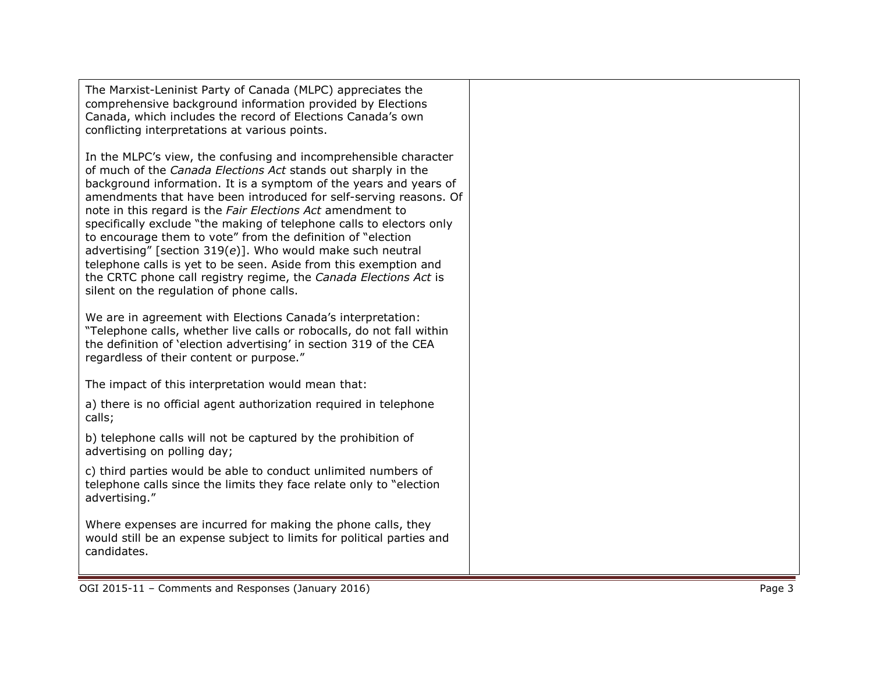The Marxist -Leninist Party of Canada (MLPC) appreciates the comprehensive background information provided by Elections Canada, which includes the record of Elections Canada's own conflicting interpretations at various points.

In the MLPC's view, the confusing and incomprehensible character of much of the *Canada Elections Act* stands out sharply in the background information. It is a symptom of the years and years of amendments that have been introduced for self -serving reasons. Of note in this regard is the *Fair Elections Act* amendment to specifically exclude "the making of telephone calls to electors only to encourage them to vote" from the definition of "election advertising" [ section 319( *e*)] . Who would make such neutral telephone calls is yet to be seen. Aside from this exemption and the CRTC phone call registry regime, the *Canada Elections Act* is silent on the regulation of phone calls.

We are in agreement with Elections Canada's interpretation: "Telephone calls, whether live calls or robocalls, do not fall within the definition of 'election advertising' in section 319 of the CEA regardless of their content or purpose."

The impact of this interpretation would mean that :

a) there is no official agent authorization required in telephone calls;

b) telephone calls will not be captured by the prohibition of advertising on polling day;

c) third parties would be able to conduct unlimited numbers of telephone calls since the limits they face relate only to "election advertising."

Where expenses are incurred for making the phone calls, they would still be an expense subject to limits for political parties and candidates.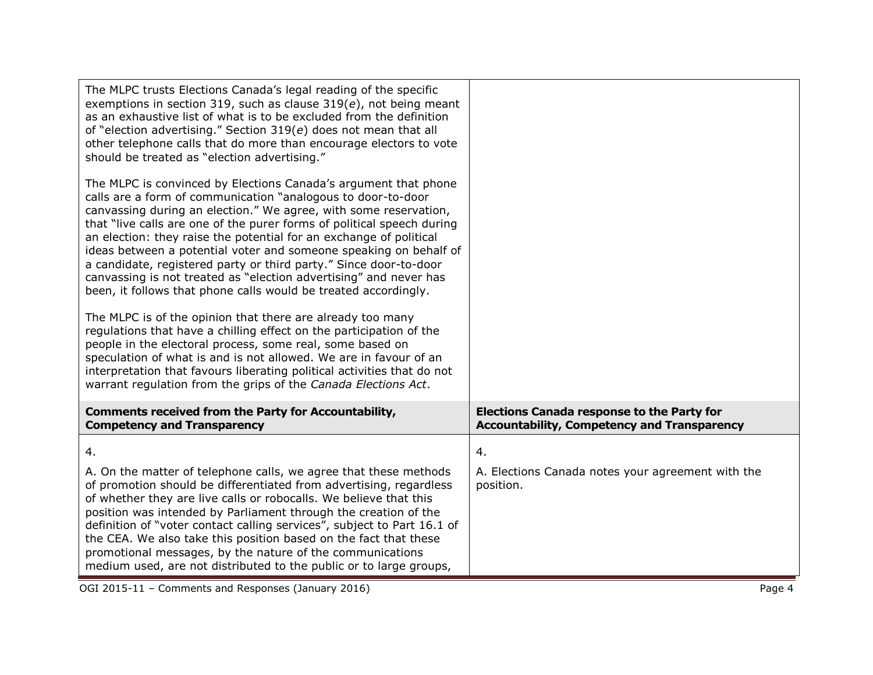| The MLPC trusts Elections Canada's legal reading of the specific<br>exemptions in section 319, such as clause $319(e)$ , not being meant<br>as an exhaustive list of what is to be excluded from the definition<br>of "election advertising." Section 319(e) does not mean that all<br>other telephone calls that do more than encourage electors to vote<br>should be treated as "election advertising."                                                                                                                                                                                                                             |                                                                                                         |
|---------------------------------------------------------------------------------------------------------------------------------------------------------------------------------------------------------------------------------------------------------------------------------------------------------------------------------------------------------------------------------------------------------------------------------------------------------------------------------------------------------------------------------------------------------------------------------------------------------------------------------------|---------------------------------------------------------------------------------------------------------|
| The MLPC is convinced by Elections Canada's argument that phone<br>calls are a form of communication "analogous to door-to-door<br>canvassing during an election." We agree, with some reservation,<br>that "live calls are one of the purer forms of political speech during<br>an election: they raise the potential for an exchange of political<br>ideas between a potential voter and someone speaking on behalf of<br>a candidate, registered party or third party." Since door-to-door<br>canvassing is not treated as "election advertising" and never has<br>been, it follows that phone calls would be treated accordingly. |                                                                                                         |
| The MLPC is of the opinion that there are already too many<br>regulations that have a chilling effect on the participation of the<br>people in the electoral process, some real, some based on<br>speculation of what is and is not allowed. We are in favour of an<br>interpretation that favours liberating political activities that do not<br>warrant regulation from the grips of the Canada Elections Act.                                                                                                                                                                                                                      |                                                                                                         |
| <b>Comments received from the Party for Accountability,</b><br><b>Competency and Transparency</b>                                                                                                                                                                                                                                                                                                                                                                                                                                                                                                                                     | <b>Elections Canada response to the Party for</b><br><b>Accountability, Competency and Transparency</b> |
| 4.<br>A. On the matter of telephone calls, we agree that these methods<br>of promotion should be differentiated from advertising, regardless<br>of whether they are live calls or robocalls. We believe that this<br>position was intended by Parliament through the creation of the<br>definition of "voter contact calling services", subject to Part 16.1 of<br>the CEA. We also take this position based on the fact that these<br>promotional messages, by the nature of the communications<br>medium used, are not distributed to the public or to large groups,                                                                | 4.<br>A. Elections Canada notes your agreement with the<br>position.                                    |

OGI 2015-11 - Comments and Responses (January 2016) Page 4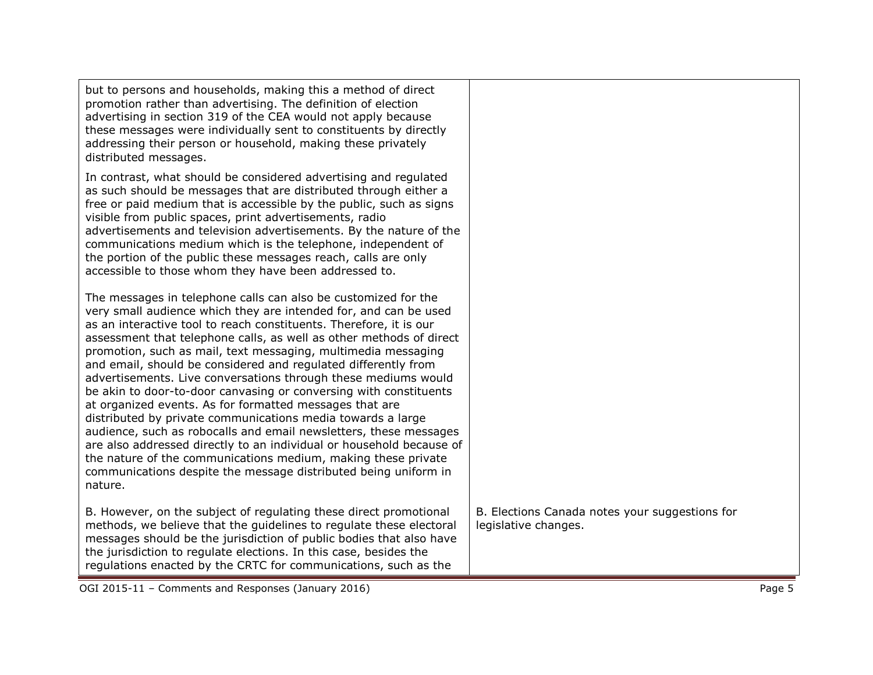| OGI 2015-11 - Comments and Responses (January 2016)                                                                                                                                                                                                                                                                                                                                                                                                                                                                                                                                                                                                                                                                                                                                                                                       |                                                                        | Page 5 |
|-------------------------------------------------------------------------------------------------------------------------------------------------------------------------------------------------------------------------------------------------------------------------------------------------------------------------------------------------------------------------------------------------------------------------------------------------------------------------------------------------------------------------------------------------------------------------------------------------------------------------------------------------------------------------------------------------------------------------------------------------------------------------------------------------------------------------------------------|------------------------------------------------------------------------|--------|
| B. However, on the subject of regulating these direct promotional<br>methods, we believe that the guidelines to regulate these electoral<br>messages should be the jurisdiction of public bodies that also have<br>the jurisdiction to regulate elections. In this case, besides the<br>regulations enacted by the CRTC for communications, such as the                                                                                                                                                                                                                                                                                                                                                                                                                                                                                   | B. Elections Canada notes your suggestions for<br>legislative changes. |        |
| as an interactive tool to reach constituents. Therefore, it is our<br>assessment that telephone calls, as well as other methods of direct<br>promotion, such as mail, text messaging, multimedia messaging<br>and email, should be considered and regulated differently from<br>advertisements. Live conversations through these mediums would<br>be akin to door-to-door canvasing or conversing with constituents<br>at organized events. As for formatted messages that are<br>distributed by private communications media towards a large<br>audience, such as robocalls and email newsletters, these messages<br>are also addressed directly to an individual or household because of<br>the nature of the communications medium, making these private<br>communications despite the message distributed being uniform in<br>nature. |                                                                        |        |
| The messages in telephone calls can also be customized for the<br>very small audience which they are intended for, and can be used                                                                                                                                                                                                                                                                                                                                                                                                                                                                                                                                                                                                                                                                                                        |                                                                        |        |
| In contrast, what should be considered advertising and regulated<br>as such should be messages that are distributed through either a<br>free or paid medium that is accessible by the public, such as signs<br>visible from public spaces, print advertisements, radio<br>advertisements and television advertisements. By the nature of the<br>communications medium which is the telephone, independent of<br>the portion of the public these messages reach, calls are only<br>accessible to those whom they have been addressed to.                                                                                                                                                                                                                                                                                                   |                                                                        |        |
| but to persons and households, making this a method of direct<br>promotion rather than advertising. The definition of election<br>advertising in section 319 of the CEA would not apply because<br>these messages were individually sent to constituents by directly<br>addressing their person or household, making these privately<br>distributed messages.                                                                                                                                                                                                                                                                                                                                                                                                                                                                             |                                                                        |        |